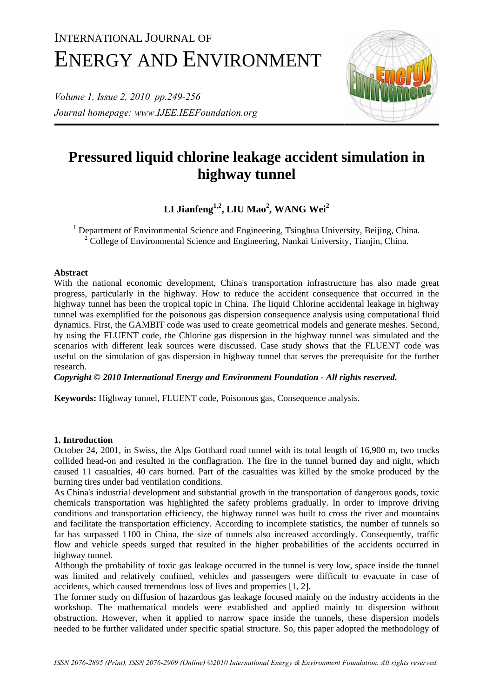# INTERNATIONAL JOURNAL OF ENERGY AND ENVIRONMENT

*Volume 1, Issue 2, 2010 pp.249-256 Journal homepage: www.IJEE.IEEFoundation.org* 



# **Pressured liquid chlorine leakage accident simulation in highway tunnel**

 $LI$  Jianfeng<sup>1,2</sup>, LIU Mao<sup>2</sup>, WANG Wei<sup>2</sup>

<sup>1</sup> Department of Environmental Science and Engineering, Tsinghua University, Beijing, China.  $2^2$  College of Environmental Science and Engineering, Nankai University, Tianjin, China.

# **Abstract**

With the national economic development, China's transportation infrastructure has also made great progress, particularly in the highway. How to reduce the accident consequence that occurred in the highway tunnel has been the tropical topic in China. The liquid Chlorine accidental leakage in highway tunnel was exemplified for the poisonous gas dispersion consequence analysis using computational fluid dynamics. First, the GAMBIT code was used to create geometrical models and generate meshes. Second, by using the FLUENT code, the Chlorine gas dispersion in the highway tunnel was simulated and the scenarios with different leak sources were discussed. Case study shows that the FLUENT code was useful on the simulation of gas dispersion in highway tunnel that serves the prerequisite for the further research.

*Copyright © 2010 International Energy and Environment Foundation - All rights reserved.*

**Keywords:** Highway tunnel, FLUENT code, Poisonous gas, Consequence analysis.

# **1. Introduction**

October 24, 2001, in Swiss, the Alps Gotthard road tunnel with its total length of 16,900 m, two trucks collided head-on and resulted in the conflagration. The fire in the tunnel burned day and night, which caused 11 casualties, 40 cars burned. Part of the casualties was killed by the smoke produced by the burning tires under bad ventilation conditions.

As China's industrial development and substantial growth in the transportation of dangerous goods, toxic chemicals transportation was highlighted the safety problems gradually. In order to improve driving conditions and transportation efficiency, the highway tunnel was built to cross the river and mountains and facilitate the transportation efficiency. According to incomplete statistics, the number of tunnels so far has surpassed 1100 in China, the size of tunnels also increased accordingly. Consequently, traffic flow and vehicle speeds surged that resulted in the higher probabilities of the accidents occurred in highway tunnel.

Although the probability of toxic gas leakage occurred in the tunnel is very low, space inside the tunnel was limited and relatively confined, vehicles and passengers were difficult to evacuate in case of accidents, which caused tremendous loss of lives and properties [1, 2].

The former study on diffusion of hazardous gas leakage focused mainly on the industry accidents in the workshop. The mathematical models were established and applied mainly to dispersion without obstruction. However, when it applied to narrow space inside the tunnels, these dispersion models needed to be further validated under specific spatial structure. So, this paper adopted the methodology of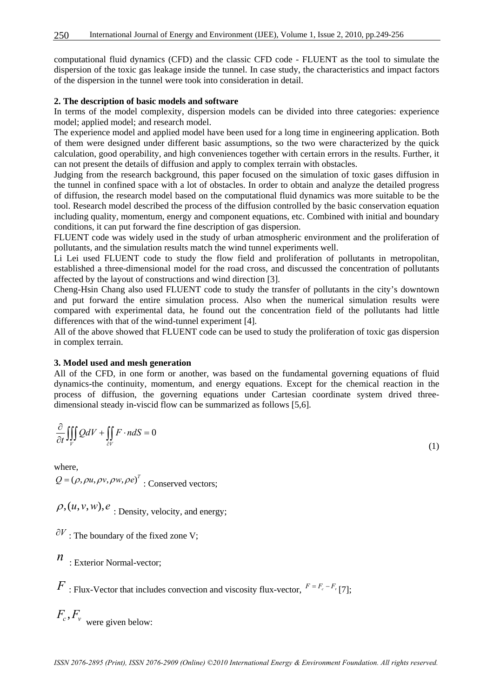computational fluid dynamics (CFD) and the classic CFD code - FLUENT as the tool to simulate the dispersion of the toxic gas leakage inside the tunnel. In case study, the characteristics and impact factors of the dispersion in the tunnel were took into consideration in detail.

#### **2. The description of basic models and software**

In terms of the model complexity, dispersion models can be divided into three categories: experience model; applied model; and research model.

The experience model and applied model have been used for a long time in engineering application. Both of them were designed under different basic assumptions, so the two were characterized by the quick calculation, good operability, and high conveniences together with certain errors in the results. Further, it can not present the details of diffusion and apply to complex terrain with obstacles.

Judging from the research background, this paper focused on the simulation of toxic gases diffusion in the tunnel in confined space with a lot of obstacles. In order to obtain and analyze the detailed progress of diffusion, the research model based on the computational fluid dynamics was more suitable to be the tool. Research model described the process of the diffusion controlled by the basic conservation equation including quality, momentum, energy and component equations, etc. Combined with initial and boundary conditions, it can put forward the fine description of gas dispersion.

FLUENT code was widely used in the study of urban atmospheric environment and the proliferation of pollutants, and the simulation results match the wind tunnel experiments well.

Li Lei used FLUENT code to study the flow field and proliferation of pollutants in metropolitan, established a three-dimensional model for the road cross, and discussed the concentration of pollutants affected by the layout of constructions and wind direction [3].

Cheng-Hsin Chang also used FLUENT code to study the transfer of pollutants in the city's downtown and put forward the entire simulation process. Also when the numerical simulation results were compared with experimental data, he found out the concentration field of the pollutants had little differences with that of the wind-tunnel experiment [4].

All of the above showed that FLUENT code can be used to study the proliferation of toxic gas dispersion in complex terrain.

#### **3. Model used and mesh generation**

All of the CFD, in one form or another, was based on the fundamental governing equations of fluid dynamics-the continuity, momentum, and energy equations. Except for the chemical reaction in the process of diffusion, the governing equations under Cartesian coordinate system drived threedimensional steady in-viscid flow can be summarized as follows [5,6].

$$
\frac{\partial}{\partial t} \iiint\limits_V QdV + \iint\limits_{\partial V} F \cdot n dS = 0
$$

where,  $Q = (\rho, \rho u, \rho v, \rho w, \rho e)^T$ : Conserved vectors;

 $\rho$ ,  $(u, v, w)$ ,  $e_i$  bensity, velocity, and energy;

 $\partial V$ : The boundary of the fixed zone V;

*n* : Exterior Normal-vector;

*F* : Flux-Vector that includes convection and viscosity flux-vector,  $F = F_c - F_v$  [7];

 $F_c$ ,  $F_v$  were given below:

(1)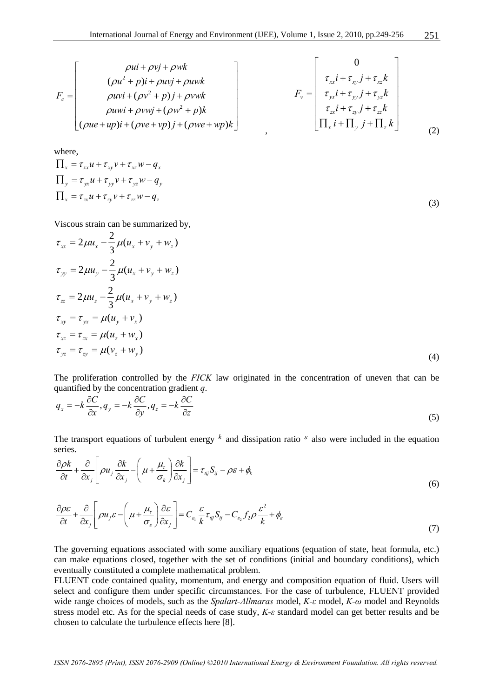$$
F_c = \begin{bmatrix} \rho u i + \rho v j + \rho w k \\ (\rho u^2 + p) i + \rho u v j + \rho u w k \\ \rho u v i + (\rho v^2 + p) j + \rho v w k \\ \rho u w i + \rho v w j + (\rho w^2 + p) k \\ (\rho u e + u p) i + (\rho v e + v p) j + (\rho w e + w p) k \end{bmatrix} \qquad F_v = \begin{bmatrix} 0 \\ \tau_{xx} i + \tau_{xy} j + \tau_{xz} k \\ \tau_{yx} i + \tau_{yy} j + \tau_{yz} k \\ \tau_{zx} i + \tau_{zy} j + \tau_{zz} k \\ \tau_{xx} i + \tau_{zy} j + \tau_{zz} k \\ \Pi_x i + \Pi_y j + \Pi_z k \end{bmatrix}
$$
 (2)

where,

$$
\Pi_x = \tau_{xx} u + \tau_{xy} v + \tau_{xz} w - q_x
$$
\n
$$
\Pi_y = \tau_{yx} u + \tau_{yy} v + \tau_{yz} w - q_y
$$
\n
$$
\Pi_x = \tau_{zx} u + \tau_{zy} v + \tau_{zz} w - q_z
$$
\n(3)

Viscous strain can be summarized by,

$$
\tau_{xx} = 2\mu u_x - \frac{2}{3}\mu (u_x + v_y + w_z) \n\tau_{yy} = 2\mu u_y - \frac{2}{3}\mu (u_x + v_y + w_z) \n\tau_{zz} = 2\mu u_z - \frac{2}{3}\mu (u_x + v_y + w_z) \n\tau_{xy} = \tau_{yx} = \mu (u_y + v_x) \n\tau_{xz} = \tau_{zx} = \mu (u_z + w_x) \n\tau_{yz} = \tau_{zy} = \mu (v_z + w_y)
$$
\n(4)

The proliferation controlled by the *FICK* law originated in the concentration of uneven that can be quantified by the concentration gradient *q*.

$$
q_x = -k \frac{\partial C}{\partial x}, q_y = -k \frac{\partial C}{\partial y}, q_z = -k \frac{\partial C}{\partial z}
$$
\n
$$
(5)
$$

The transport equations of turbulent energy  $k$  and dissipation ratio  $\epsilon$  also were included in the equation series.

$$
\frac{\partial \rho k}{\partial t} + \frac{\partial}{\partial x_j} \left[ \rho u_j \frac{\partial k}{\partial x_j} - \left( \mu + \frac{\mu_\tau}{\sigma_k} \right) \frac{\partial k}{\partial x_j} \right] = \tau_{ij} S_{ij} - \rho \varepsilon + \phi_k
$$
\n(6)

$$
\frac{\partial \rho \varepsilon}{\partial t} + \frac{\partial}{\partial x_j} \left[ \rho u_j \varepsilon - \left( \mu + \frac{\mu_r}{\sigma_\varepsilon} \right) \frac{\partial \varepsilon}{\partial x_j} \right] = C_{\varepsilon_1} \frac{\varepsilon}{k} \tau_{ij} S_{ij} - C_{\varepsilon_2} f_2 \rho \frac{\varepsilon^2}{k} + \phi_\varepsilon \tag{7}
$$

The governing equations associated with some auxiliary equations (equation of state, heat formula, etc.) can make equations closed, together with the set of conditions (initial and boundary conditions), which eventually constituted a complete mathematical problem.

FLUENT code contained quality, momentum, and energy and composition equation of fluid. Users will select and configure them under specific circumstances. For the case of turbulence, FLUENT provided wide range choices of models, such as the *Spalart-Allmaras* model, *K-ε* model, *K-ω* model and Reynolds stress model etc. As for the special needs of case study, *K-ε* standard model can get better results and be chosen to calculate the turbulence effects here [8].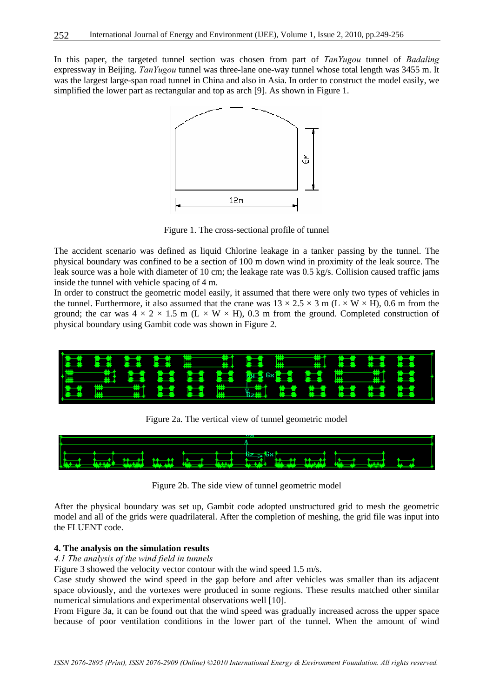In this paper, the targeted tunnel section was chosen from part of *TanYugou* tunnel of *Badaling* expressway in Beijing. *TanYugou* tunnel was three-lane one-way tunnel whose total length was 3455 m. It was the largest large-span road tunnel in China and also in Asia. In order to construct the model easily, we simplified the lower part as rectangular and top as arch [9]. As shown in Figure 1.



Figure 1. The cross-sectional profile of tunnel

The accident scenario was defined as liquid Chlorine leakage in a tanker passing by the tunnel. The physical boundary was confined to be a section of 100 m down wind in proximity of the leak source. The leak source was a hole with diameter of 10 cm; the leakage rate was 0.5 kg/s. Collision caused traffic jams inside the tunnel with vehicle spacing of 4 m.

In order to construct the geometric model easily, it assumed that there were only two types of vehicles in the tunnel. Furthermore, it also assumed that the crane was  $13 \times 2.5 \times 3$  m (L  $\times$  W  $\times$  H), 0.6 m from the ground; the car was  $4 \times 2 \times 1.5$  m (L  $\times$  W  $\times$  H), 0.3 m from the ground. Completed construction of physical boundary using Gambit code was shown in Figure 2.



Figure 2a. The vertical view of tunnel geometric model



Figure 2b. The side view of tunnel geometric model

After the physical boundary was set up, Gambit code adopted unstructured grid to mesh the geometric model and all of the grids were quadrilateral. After the completion of meshing, the grid file was input into the FLUENT code.

# **4. The analysis on the simulation results**

# *4.1 The analysis of the wind field in tunnels*

Figure 3 showed the velocity vector contour with the wind speed 1.5 m/s.

Case study showed the wind speed in the gap before and after vehicles was smaller than its adjacent space obviously, and the vortexes were produced in some regions. These results matched other similar numerical simulations and experimental observations well [10].

From Figure 3a, it can be found out that the wind speed was gradually increased across the upper space because of poor ventilation conditions in the lower part of the tunnel. When the amount of wind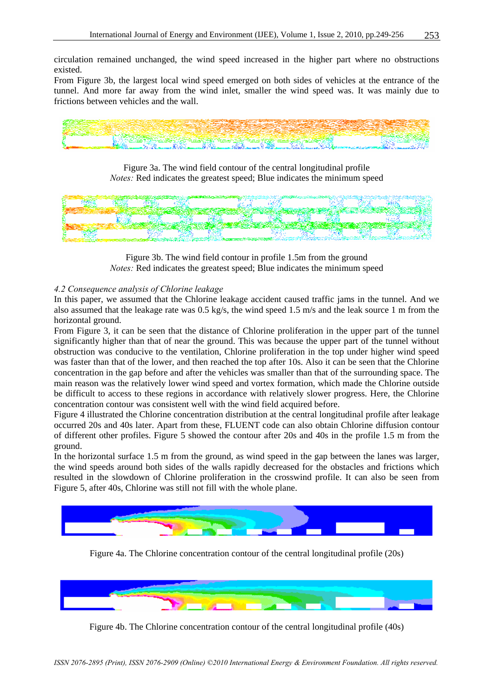circulation remained unchanged, the wind speed increased in the higher part where no obstructions existed.

From Figure 3b, the largest local wind speed emerged on both sides of vehicles at the entrance of the tunnel. And more far away from the wind inlet, smaller the wind speed was. It was mainly due to frictions between vehicles and the wall.



Figure 3a. The wind field contour of the central longitudinal profile *Notes:* Red indicates the greatest speed; Blue indicates the minimum speed



Figure 3b. The wind field contour in profile 1.5m from the ground *Notes:* Red indicates the greatest speed; Blue indicates the minimum speed

# *4.2 Consequence analysis of Chlorine leakage*

In this paper, we assumed that the Chlorine leakage accident caused traffic jams in the tunnel. And we also assumed that the leakage rate was 0.5 kg/s, the wind speed 1.5 m/s and the leak source 1 m from the horizontal ground.

From Figure 3, it can be seen that the distance of Chlorine proliferation in the upper part of the tunnel significantly higher than that of near the ground. This was because the upper part of the tunnel without obstruction was conducive to the ventilation, Chlorine proliferation in the top under higher wind speed was faster than that of the lower, and then reached the top after 10s. Also it can be seen that the Chlorine concentration in the gap before and after the vehicles was smaller than that of the surrounding space. The main reason was the relatively lower wind speed and vortex formation, which made the Chlorine outside be difficult to access to these regions in accordance with relatively slower progress. Here, the Chlorine concentration contour was consistent well with the wind field acquired before.

Figure 4 illustrated the Chlorine concentration distribution at the central longitudinal profile after leakage occurred 20s and 40s later. Apart from these, FLUENT code can also obtain Chlorine diffusion contour of different other profiles. Figure 5 showed the contour after 20s and 40s in the profile 1.5 m from the ground.

In the horizontal surface 1.5 m from the ground, as wind speed in the gap between the lanes was larger, the wind speeds around both sides of the walls rapidly decreased for the obstacles and frictions which resulted in the slowdown of Chlorine proliferation in the crosswind profile. It can also be seen from Figure 5, after 40s, Chlorine was still not fill with the whole plane.



Figure 4a. The Chlorine concentration contour of the central longitudinal profile (20s)



Figure 4b. The Chlorine concentration contour of the central longitudinal profile (40s)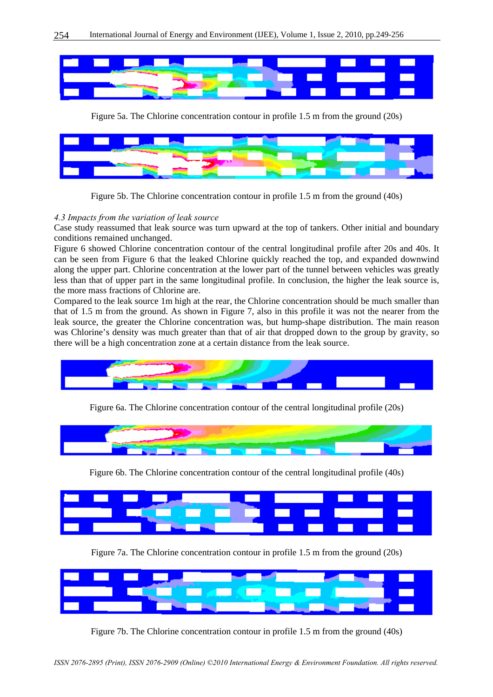

Figure 5a. The Chlorine concentration contour in profile 1.5 m from the ground (20s)



Figure 5b. The Chlorine concentration contour in profile 1.5 m from the ground (40s)

### *4.3 Impacts from the variation of leak source*

Case study reassumed that leak source was turn upward at the top of tankers. Other initial and boundary conditions remained unchanged.

Figure 6 showed Chlorine concentration contour of the central longitudinal profile after 20s and 40s. It can be seen from Figure 6 that the leaked Chlorine quickly reached the top, and expanded downwind along the upper part. Chlorine concentration at the lower part of the tunnel between vehicles was greatly less than that of upper part in the same longitudinal profile. In conclusion, the higher the leak source is, the more mass fractions of Chlorine are.

Compared to the leak source 1m high at the rear, the Chlorine concentration should be much smaller than that of 1.5 m from the ground. As shown in Figure 7, also in this profile it was not the nearer from the leak source, the greater the Chlorine concentration was, but hump-shape distribution. The main reason was Chlorine's density was much greater than that of air that dropped down to the group by gravity, so there will be a high concentration zone at a certain distance from the leak source.



Figure 6a. The Chlorine concentration contour of the central longitudinal profile (20s)



Figure 6b. The Chlorine concentration contour of the central longitudinal profile (40s)



Figure 7a. The Chlorine concentration contour in profile 1.5 m from the ground (20s)



Figure 7b. The Chlorine concentration contour in profile 1.5 m from the ground (40s)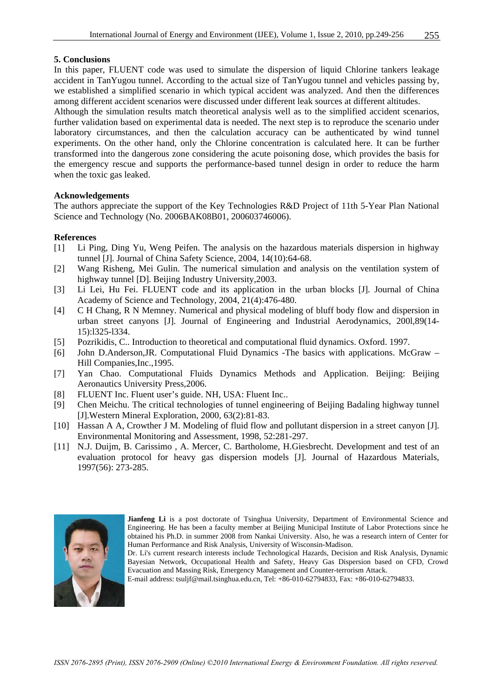#### **5. Conclusions**

In this paper, FLUENT code was used to simulate the dispersion of liquid Chlorine tankers leakage accident in TanYugou tunnel. According to the actual size of TanYugou tunnel and vehicles passing by, we established a simplified scenario in which typical accident was analyzed. And then the differences among different accident scenarios were discussed under different leak sources at different altitudes.

Although the simulation results match theoretical analysis well as to the simplified accident scenarios, further validation based on experimental data is needed. The next step is to reproduce the scenario under laboratory circumstances, and then the calculation accuracy can be authenticated by wind tunnel experiments. On the other hand, only the Chlorine concentration is calculated here. It can be further transformed into the dangerous zone considering the acute poisoning dose, which provides the basis for the emergency rescue and supports the performance-based tunnel design in order to reduce the harm when the toxic gas leaked.

#### **Acknowledgements**

The authors appreciate the support of the Key Technologies R&D Project of 11th 5-Year Plan National Science and Technology (No. 2006BAK08B01, 200603746006).

#### **References**

- [1] Li Ping, Ding Yu, Weng Peifen. The analysis on the hazardous materials dispersion in highway tunnel [J]. Journal of China Safety Science, 2004, 14(10):64-68.
- [2] Wang Risheng, Mei Gulin. The numerical simulation and analysis on the ventilation system of highway tunnel [D]. Beijing Industry University, 2003.
- [3] Li Lei, Hu Fei. FLUENT code and its application in the urban blocks [J]. Journal of China Academy of Science and Technology, 2004, 21(4):476-480.
- [4] C H Chang, R N Memney. Numerical and physical modeling of bluff body flow and dispersion in urban street canyons [J]. Journal of Engineering and Industrial Aerodynamics, 200l,89(14- 15):l325-l334.
- [5] Pozrikidis, C.. Introduction to theoretical and computational fluid dynamics. Oxford. 1997.
- [6] John D.Anderson,JR. Computational Fluid Dynamics -The basics with applications. McGraw Hill Companies,Inc.,1995.
- [7] Yan Chao. Computational Fluids Dynamics Methods and Application. Beijing: Beijing Aeronautics University Press,2006.
- [8] FLUENT Inc. Fluent user's guide. NH, USA: Fluent Inc..
- [9] Chen Meichu. The critical technologies of tunnel engineering of Beijing Badaling highway tunnel [J].Western Mineral Exploration, 2000, 63(2):81-83.
- [10] Hassan A A, Crowther J M. Modeling of fluid flow and pollutant dispersion in a street canyon [J]. Environmental Monitoring and Assessment, 1998, 52:281-297.
- [11] N.J. Duijm, B. Carissimo , A. Mercer, C. Bartholome, H.Giesbrecht. Development and test of an evaluation protocol for heavy gas dispersion models [J]. Journal of Hazardous Materials, 1997(56): 273-285.



**Jianfeng Li** is a post doctorate of Tsinghua University, Department of Environmental Science and Engineering. He has been a faculty member at Beijing Municipal Institute of Labor Protections since he obtained his Ph.D. in summer 2008 from Nankai University. Also, he was a research intern of Center for Human Performance and Risk Analysis, University of Wisconsin-Madison.

E-mail address: tsuljf@mail.tsinghua.edu.cn, Tel: +86-010-62794833, Fax: +86-010-62794833.

Dr. Li's current research interests include Technological Hazards, Decision and Risk Analysis, Dynamic Bayesian Network, Occupational Health and Safety, Heavy Gas Dispersion based on CFD, Crowd Evacuation and Massing Risk, Emergency Management and Counter-terrorism Attack.